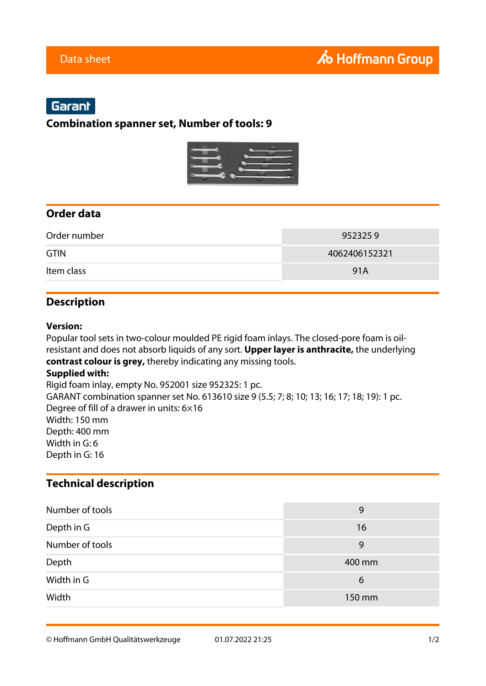# Garant

### **Combination spanner set, Number of tools: 9**



## **Order data**

| Order number | 9523259       |
|--------------|---------------|
| <b>GTIN</b>  | 4062406152321 |
| Item class   | 91A           |

# **Description**

#### **Version:**

Popular tool sets in two-colour moulded PE rigid foam inlays. The closed-pore foam is oilresistant and does not absorb liquids of any sort. **Upper layer is anthracite,** the underlying **contrast colour is grey,** thereby indicating any missing tools. **Supplied with:** Rigid foam inlay, empty No. 952001 size 952325: 1 pc. GARANT combination spanner set No. 613610 size 9 (5.5; 7; 8; 10; 13; 16; 17; 18; 19): 1 pc. Degree of fill of a drawer in units: 6×16 Width: 150 mm

Depth: 400 mm Width in G: 6 Depth in G: 16

#### **Technical description**

| Number of tools | 9      |
|-----------------|--------|
| Depth in G      | 16     |
| Number of tools | 9      |
| Depth           | 400 mm |
| Width in G      | 6      |
| Width           | 150 mm |